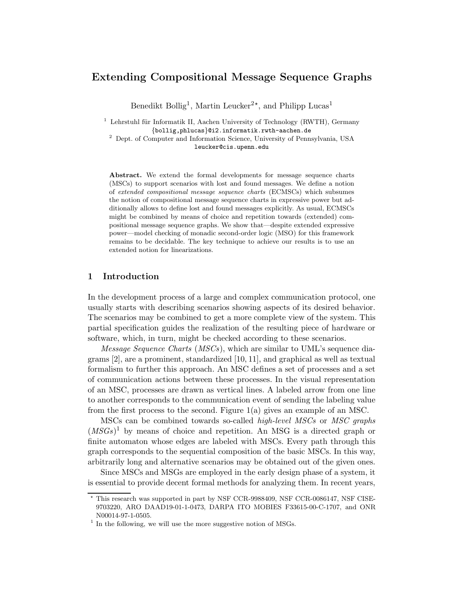# Extending Compositional Message Sequence Graphs

Benedikt Bollig<sup>1</sup>, Martin Leucker<sup>2\*</sup>, and Philipp Lucas<sup>1</sup>

<sup>1</sup> Lehrstuhl für Informatik II, Aachen University of Technology (RWTH), Germany {bollig,phlucas}@i2.informatik.rwth-aachen.de

<sup>2</sup> Dept. of Computer and Information Science, University of Pennsylvania, USA leucker@cis.upenn.edu

Abstract. We extend the formal developments for message sequence charts (MSCs) to support scenarios with lost and found messages. We define a notion of extended compositional message sequence charts (ECMSCs) which subsumes the notion of compositional message sequence charts in expressive power but additionally allows to define lost and found messages explicitly. As usual, ECMSCs might be combined by means of choice and repetition towards (extended) compositional message sequence graphs. We show that—despite extended expressive power—model checking of monadic second-order logic (MSO) for this framework remains to be decidable. The key technique to achieve our results is to use an extended notion for linearizations.

## 1 Introduction

In the development process of a large and complex communication protocol, one usually starts with describing scenarios showing aspects of its desired behavior. The scenarios may be combined to get a more complete view of the system. This partial specification guides the realization of the resulting piece of hardware or software, which, in turn, might be checked according to these scenarios.

Message Sequence Charts (MSCs), which are similar to UML's sequence diagrams [2], are a prominent, standardized [10, 11], and graphical as well as textual formalism to further this approach. An MSC defines a set of processes and a set of communication actions between these processes. In the visual representation of an MSC, processes are drawn as vertical lines. A labeled arrow from one line to another corresponds to the communication event of sending the labeling value from the first process to the second. Figure 1(a) gives an example of an MSC.

MSCs can be combined towards so-called *high-level MSCs* or *MSC graphs*  $(MSGs)^1$  by means of choice and repetition. An MSG is a directed graph or finite automaton whose edges are labeled with MSCs. Every path through this graph corresponds to the sequential composition of the basic MSCs. In this way, arbitrarily long and alternative scenarios may be obtained out of the given ones.

Since MSCs and MSGs are employed in the early design phase of a system, it is essential to provide decent formal methods for analyzing them. In recent years,

<sup>?</sup> This research was supported in part by NSF CCR-9988409, NSF CCR-0086147, NSF CISE-9703220, ARO DAAD19-01-1-0473, DARPA ITO MOBIES F33615-00-C-1707, and ONR N00014-97-1-0505.

<sup>&</sup>lt;sup>1</sup> In the following, we will use the more suggestive notion of MSGs.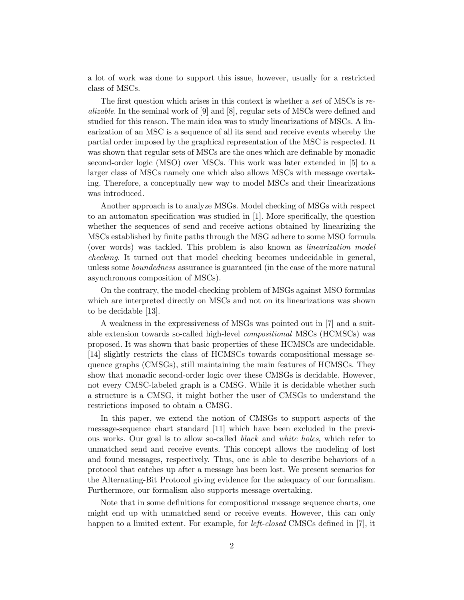a lot of work was done to support this issue, however, usually for a restricted class of MSCs.

The first question which arises in this context is whether a set of MSCs is realizable. In the seminal work of [9] and [8], regular sets of MSCs were defined and studied for this reason. The main idea was to study linearizations of MSCs. A linearization of an MSC is a sequence of all its send and receive events whereby the partial order imposed by the graphical representation of the MSC is respected. It was shown that regular sets of MSCs are the ones which are definable by monadic second-order logic (MSO) over MSCs. This work was later extended in [5] to a larger class of MSCs namely one which also allows MSCs with message overtaking. Therefore, a conceptually new way to model MSCs and their linearizations was introduced.

Another approach is to analyze MSGs. Model checking of MSGs with respect to an automaton specification was studied in [1]. More specifically, the question whether the sequences of send and receive actions obtained by linearizing the MSCs established by finite paths through the MSG adhere to some MSO formula (over words) was tackled. This problem is also known as linearization model checking. It turned out that model checking becomes undecidable in general, unless some *boundedness* assurance is guaranteed (in the case of the more natural asynchronous composition of MSCs).

On the contrary, the model-checking problem of MSGs against MSO formulas which are interpreted directly on MSCs and not on its linearizations was shown to be decidable [13].

A weakness in the expressiveness of MSGs was pointed out in [7] and a suitable extension towards so-called high-level compositional MSCs (HCMSCs) was proposed. It was shown that basic properties of these HCMSCs are undecidable. [14] slightly restricts the class of HCMSCs towards compositional message sequence graphs (CMSGs), still maintaining the main features of HCMSCs. They show that monadic second-order logic over these CMSGs is decidable. However, not every CMSC-labeled graph is a CMSG. While it is decidable whether such a structure is a CMSG, it might bother the user of CMSGs to understand the restrictions imposed to obtain a CMSG.

In this paper, we extend the notion of CMSGs to support aspects of the message-sequence–chart standard [11] which have been excluded in the previous works. Our goal is to allow so-called black and white holes, which refer to unmatched send and receive events. This concept allows the modeling of lost and found messages, respectively. Thus, one is able to describe behaviors of a protocol that catches up after a message has been lost. We present scenarios for the Alternating-Bit Protocol giving evidence for the adequacy of our formalism. Furthermore, our formalism also supports message overtaking.

Note that in some definitions for compositional message sequence charts, one might end up with unmatched send or receive events. However, this can only happen to a limited extent. For example, for *left-closed* CMSCs defined in [7], it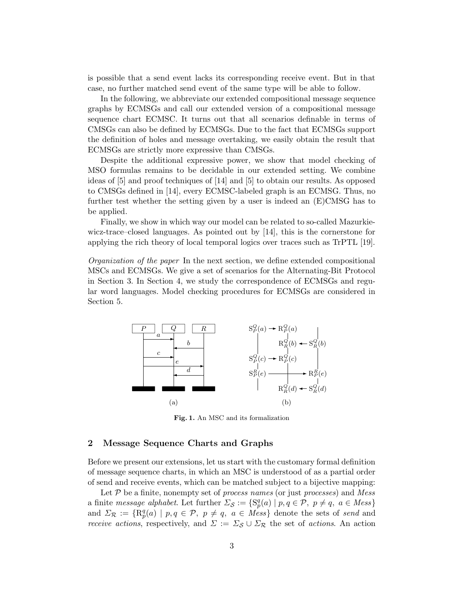is possible that a send event lacks its corresponding receive event. But in that case, no further matched send event of the same type will be able to follow.

In the following, we abbreviate our extended compositional message sequence graphs by ECMSGs and call our extended version of a compositional message sequence chart ECMSC. It turns out that all scenarios definable in terms of CMSGs can also be defined by ECMSGs. Due to the fact that ECMSGs support the definition of holes and message overtaking, we easily obtain the result that ECMSGs are strictly more expressive than CMSGs.

Despite the additional expressive power, we show that model checking of MSO formulas remains to be decidable in our extended setting. We combine ideas of [5] and proof techniques of [14] and [5] to obtain our results. As opposed to CMSGs defined in [14], every ECMSC-labeled graph is an ECMSG. Thus, no further test whether the setting given by a user is indeed an (E)CMSG has to be applied.

Finally, we show in which way our model can be related to so-called Mazurkiewicz-trace–closed languages. As pointed out by [14], this is the cornerstone for applying the rich theory of local temporal logics over traces such as TrPTL [19].

Organization of the paper In the next section, we define extended compositional MSCs and ECMSGs. We give a set of scenarios for the Alternating-Bit Protocol in Section 3. In Section 4, we study the correspondence of ECMSGs and regular word languages. Model checking procedures for ECMSGs are considered in Section 5.



Fig. 1. An MSC and its formalization

### 2 Message Sequence Charts and Graphs

Before we present our extensions, let us start with the customary formal definition of message sequence charts, in which an MSC is understood of as a partial order of send and receive events, which can be matched subject to a bijective mapping:

Let  $P$  be a finite, nonempty set of *process names* (or just *processes*) and *Mess* a finite message alphabet. Let further  $\Sigma_{\mathcal{S}} := \{ S_p^q(a) \mid p, q \in \mathcal{P}, p \neq q, a \in Mess \}$ and  $\Sigma_{\mathcal{R}} := \{ \mathrm{R}_{p}^{q}(a) \mid p, q \in \mathcal{P}, p \neq q, a \in M \)$  denote the sets of send and *receive actions*, respectively, and  $\Sigma := \Sigma_{\mathcal{S}} \cup \Sigma_{\mathcal{R}}$  the set of *actions*. An action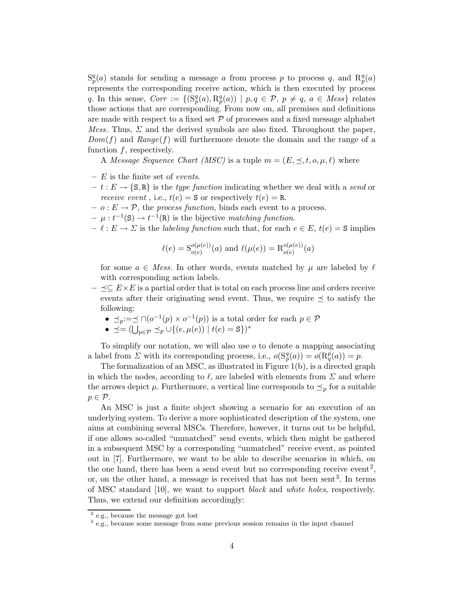$S_p^q(a)$  stands for sending a message a from process p to process q, and  $R_p^q(a)$ represents the corresponding receive action, which is then executed by process q. In this sense,  $Corr := \{ (S_p^q(a), R_p^q(a)) \mid p, q \in \mathcal{P}, p \neq q, a \in Mess \}$  relates those actions that are corresponding. From now on, all premises and definitions are made with respect to a fixed set  $P$  of processes and a fixed message alphabet *Mess.* Thus,  $\Sigma$  and the derived symbols are also fixed. Throughout the paper,  $Dom(f)$  and  $Range(f)$  will furthermore denote the domain and the range of a function  $f$ , respectively.

A Message Sequence Chart (MSC) is a tuple  $m = (E, \preceq, t, o, \mu, \ell)$  where

- $E$  is the finite set of events.
- $t : E \to \{S, R\}$  is the type function indicating whether we deal with a send or receive event, i.e.,  $t(e) = S$  or respectively  $t(e) = R$ .
- $o : E \to \mathcal{P}$ , the process function, binds each event to a process.
- $\mu : t^{-1}(\mathbf{S}) \to t^{-1}(\mathbf{R})$  is the bijective matching function.
- $\ell : E \to \Sigma$  is the *labeling function* such that, for each  $e \in E$ ,  $t(e) = S$  implies

$$
\ell(e) = S_{o(e)}^{o(\mu(e))}(a)
$$
 and  $\ell(\mu(e)) = R_{o(e)}^{o(\mu(e))}(a)$ 

for some  $a \in Mess$ . In other words, events matched by  $\mu$  are labeled by  $\ell$ with corresponding action labels.

- $\leq \leq E \times E$  is a partial order that is total on each process line and orders receive events after their originating send event. Thus, we require  $\preceq$  to satisfy the following:
	- $\preceq_p := \preceq \bigcap (o^{-1}(p) \times o^{-1}(p))$  is a total order for each  $p \in \mathcal{P}$
	- $\preceq = (\bigcup_{p \in \mathcal{P}} \preceq_p \bigcup \{(e, \mu(e)) \mid t(e) = \mathbf{S}\})^*$

To simplify our notation, we will also use  $o$  to denote a mapping associating a label from  $\Sigma$  with its corresponding process, i.e.,  $o(S_p^q(a)) = o(R_q^p(a)) = p$ .

The formalization of an MSC, as illustrated in Figure 1(b), is a directed graph in which the nodes, according to  $\ell$ , are labeled with elements from  $\Sigma$  and where the arrows depict  $\mu$ . Furthermore, a vertical line corresponds to  $\preceq_p$  for a suitable  $p \in \mathcal{P}$ .

An MSC is just a finite object showing a scenario for an execution of an underlying system. To derive a more sophisticated description of the system, one aims at combining several MSCs. Therefore, however, it turns out to be helpful, if one allows so-called "unmatched" send events, which then might be gathered in a subsequent MSC by a corresponding "unmatched" receive event, as pointed out in [7]. Furthermore, we want to be able to describe scenarios in which, on the one hand, there has been a send event but no corresponding receive event<sup>2</sup>, or, on the other hand, a message is received that has not been sent<sup>3</sup>. In terms of MSC standard [10], we want to support black and white holes, respectively. Thus, we extend our definition accordingly:

<sup>2</sup> e.g., because the message got lost

<sup>3</sup> e.g., because some message from some previous session remains in the input channel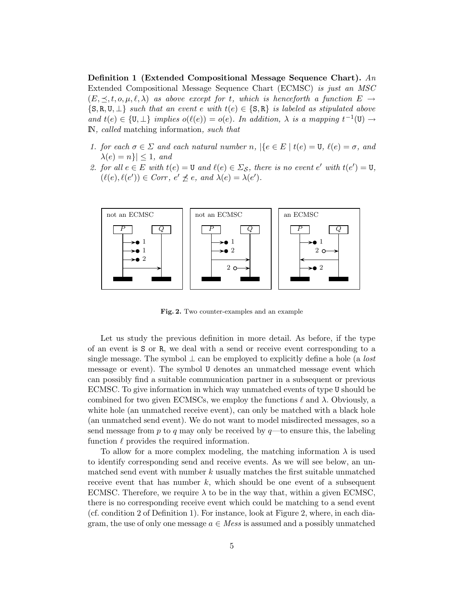Definition 1 (Extended Compositional Message Sequence Chart). An Extended Compositional Message Sequence Chart (ECMSC) is just an MSC  $(E, \preceq, t, o, \mu, \ell, \lambda)$  as above except for t, which is henceforth a function  $E \to$  $\{S, R, U, \perp\}$  such that an event e with  $t(e) \in \{S, R\}$  is labeled as stipulated above and  $t(e) \in \{U, \perp\}$  implies  $o(\ell(e)) = o(e)$ . In addition,  $\lambda$  is a mapping  $t^{-1}(U) \rightarrow$ IN, called matching information, such that

- 1. for each  $\sigma \in \Sigma$  and each natural number n,  $\{\epsilon \in E \mid t(e) = \mathbf{U}, \ell(e) = \sigma, \text{ and } \lambda(e) = \delta\}$  $\lambda(e) = n\} \leq 1$ , and
- 2. for all  $e \in E$  with  $t(e) = \mathbf{U}$  and  $\ell(e) \in \Sigma_{\mathcal{S}}$ , there is no event  $e'$  with  $t(e') = \mathbf{U}$ ,  $(\ell(e), \ell(e')) \in \mathit{Corr}, \, e' \npreceq e, \textit{ and } \lambda(e) = \lambda(e').$



Fig. 2. Two counter-examples and an example

Let us study the previous definition in more detail. As before, if the type of an event is S or R, we deal with a send or receive event corresponding to a single message. The symbol  $\perp$  can be employed to explicitly define a hole (a *lost* message or event). The symbol U denotes an unmatched message event which can possibly find a suitable communication partner in a subsequent or previous ECMSC. To give information in which way unmatched events of type U should be combined for two given ECMSCs, we employ the functions  $\ell$  and  $\lambda$ . Obviously, a white hole (an unmatched receive event), can only be matched with a black hole (an unmatched send event). We do not want to model misdirected messages, so a send message from  $p$  to  $q$  may only be received by  $q$ —to ensure this, the labeling function  $\ell$  provides the required information.

To allow for a more complex modeling, the matching information  $\lambda$  is used to identify corresponding send and receive events. As we will see below, an unmatched send event with number  $k$  usually matches the first suitable unmatched receive event that has number  $k$ , which should be one event of a subsequent ECMSC. Therefore, we require  $\lambda$  to be in the way that, within a given ECMSC, there is no corresponding receive event which could be matching to a send event (cf. condition 2 of Definition 1). For instance, look at Figure 2, where, in each diagram, the use of only one message  $a \in Mess$  is assumed and a possibly unmatched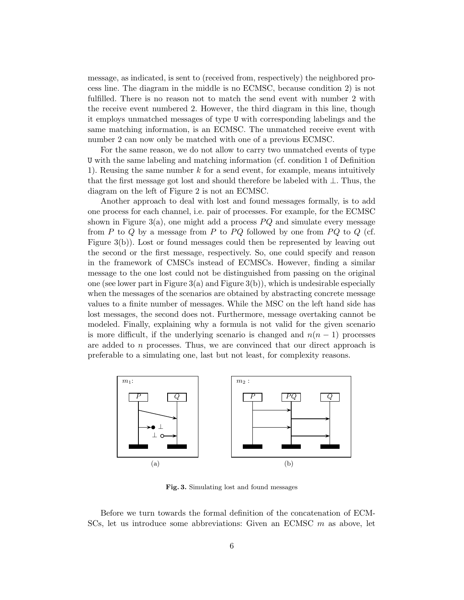message, as indicated, is sent to (received from, respectively) the neighbored process line. The diagram in the middle is no ECMSC, because condition 2) is not fulfilled. There is no reason not to match the send event with number 2 with the receive event numbered 2. However, the third diagram in this line, though it employs unmatched messages of type U with corresponding labelings and the same matching information, is an ECMSC. The unmatched receive event with number 2 can now only be matched with one of a previous ECMSC.

For the same reason, we do not allow to carry two unmatched events of type U with the same labeling and matching information (cf. condition 1 of Definition 1). Reusing the same number  $k$  for a send event, for example, means intuitively that the first message got lost and should therefore be labeled with ⊥. Thus, the diagram on the left of Figure 2 is not an ECMSC.

Another approach to deal with lost and found messages formally, is to add one process for each channel, i.e. pair of processes. For example, for the ECMSC shown in Figure 3(a), one might add a process  $PQ$  and simulate every message from P to Q by a message from P to PQ followed by one from PQ to Q (cf. Figure 3(b)). Lost or found messages could then be represented by leaving out the second or the first message, respectively. So, one could specify and reason in the framework of CMSCs instead of ECMSCs. However, finding a similar message to the one lost could not be distinguished from passing on the original one (see lower part in Figure  $3(a)$  and Figure  $3(b)$ ), which is undesirable especially when the messages of the scenarios are obtained by abstracting concrete message values to a finite number of messages. While the MSC on the left hand side has lost messages, the second does not. Furthermore, message overtaking cannot be modeled. Finally, explaining why a formula is not valid for the given scenario is more difficult, if the underlying scenario is changed and  $n(n-1)$  processes are added to n processes. Thus, we are convinced that our direct approach is preferable to a simulating one, last but not least, for complexity reasons.



Fig. 3. Simulating lost and found messages

Before we turn towards the formal definition of the concatenation of ECM-SCs, let us introduce some abbreviations: Given an ECMSC m as above, let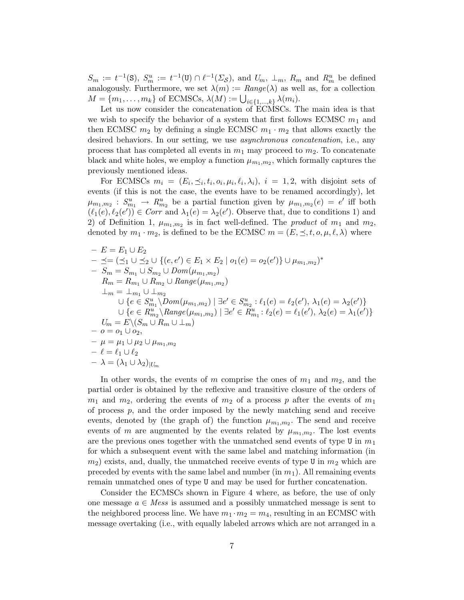$S_m := t^{-1}(\mathbf{S}), S_m^u := t^{-1}(\mathbf{U}) \cap \ell^{-1}(\Sigma_{\mathcal{S}}), \text{ and } U_m, \perp_m, R_m \text{ and } R_m^u \text{ be defined}$ analogously. Furthermore, we set  $\lambda(m) := Range(\lambda)$  as well as, for a collection  $M = \{m_1, \ldots, m_k\}$  of ECMSCs,  $\lambda(M) := \bigcup_{i \in \{1, \ldots, k\}} \lambda(m_i)$ .

Let us now consider the concatenation of ECMSCs. The main idea is that we wish to specify the behavior of a system that first follows ECMSC  $m_1$  and then ECMSC  $m_2$  by defining a single ECMSC  $m_1 \cdot m_2$  that allows exactly the desired behaviors. In our setting, we use *asynchronous concatenation*, i.e., any process that has completed all events in  $m_1$  may proceed to  $m_2$ . To concatenate black and white holes, we employ a function  $\mu_{m_1,m_2}$ , which formally captures the previously mentioned ideas.

For ECMSCs  $m_i = (E_i, \preceq_i, t_i, o_i, \mu_i, \ell_i, \lambda_i), i = 1, 2$ , with disjoint sets of events (if this is not the case, the events have to be renamed accordingly), let  $\mu_{m_1,m_2}: S^u_{m_1} \to R^u_{m_2}$  be a partial function given by  $\mu_{m_1,m_2}(e) = e'$  iff both  $(\ell_1(e), \ell_2(e')) \in \text{Corr}$  and  $\lambda_1(e) = \lambda_2(e')$ . Observe that, due to conditions 1) and 2) of Definition 1,  $\mu_{m_1,m_2}$  is in fact well-defined. The *product* of  $m_1$  and  $m_2$ , denoted by  $m_1 \cdot m_2$ , is defined to be the ECMSC  $m = (E, \preceq, t, o, \mu, \ell, \lambda)$  where

- 
$$
E = E_1 \cup E_2
$$
  
\n-  $\preceq = (\preceq_1 \cup \preceq_2 \cup \{(e, e') \in E_1 \times E_2 \mid o_1(e) = o_2(e')\} \cup \mu_{m_1, m_2})^*$   
\n-  $S_m = S_{m_1} \cup S_{m_2} \cup Dom(\mu_{m_1, m_2})$   
\n $R_m = R_{m_1} \cup R_{m_2} \cup Range(\mu_{m_1, m_2})$   
\n $\perp_m = \perp_{m_1} \cup \perp_{m_2}$   
\n $\cup \{e \in S_{m_1}^u \setminus Dom(\mu_{m_1, m_2}) \mid \exists e' \in S_{m_2}^u : \ell_1(e) = \ell_2(e'), \lambda_1(e) = \lambda_2(e')\}$   
\n $\cup \{e \in R_{m_2}^u \setminus Range(\mu_{m_1, m_2}) \mid \exists e' \in R_{m_1}^u : \ell_2(e) = \ell_1(e'), \lambda_2(e) = \lambda_1(e')\}$   
\n $U_m = E \setminus (S_m \cup R_m \cup \perp_m)$   
\n-  $o = o_1 \cup o_2,$   
\n-  $\mu = \mu_1 \cup \mu_2 \cup \mu_{m_1, m_2}$   
\n-  $\ell = \ell_1 \cup \ell_2$   
\n-  $\lambda = (\lambda_1 \cup \lambda_2)_{|U_m}$ 

In other words, the events of m comprise the ones of  $m_1$  and  $m_2$ , and the partial order is obtained by the reflexive and transitive closure of the orders of  $m_1$  and  $m_2$ , ordering the events of  $m_2$  of a process p after the events of  $m_1$ of process  $p$ , and the order imposed by the newly matching send and receive events, denoted by (the graph of) the function  $\mu_{m_1,m_2}$ . The send and receive events of m are augmented by the events related by  $\mu_{m_1,m_2}$ . The lost events are the previous ones together with the unmatched send events of type U in  $m_1$ for which a subsequent event with the same label and matching information (in  $m_2$ ) exists, and, dually, the unmatched receive events of type U in  $m_2$  which are preceded by events with the same label and number  $(in m_1)$ . All remaining events remain unmatched ones of type U and may be used for further concatenation.

Consider the ECMSCs shown in Figure 4 where, as before, the use of only one message  $a \in Mess$  is assumed and a possibly unmatched message is sent to the neighbored process line. We have  $m_1 \cdot m_2 = m_4$ , resulting in an ECMSC with message overtaking (i.e., with equally labeled arrows which are not arranged in a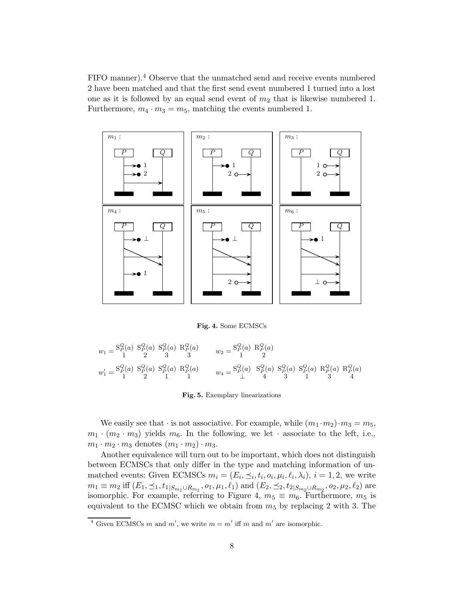FIFO manner).<sup>4</sup> Observe that the unmatched send and receive events numbered 2 have been matched and that the first send event numbered 1 turned into a lost one as it is followed by an equal send event of  $m_2$  that is likewise numbered 1. Furthermore,  $m_4 \cdot m_3 = m_5$ , matching the events numbered 1.



Fig. 4. Some ECMSCs

$$
\begin{array}{llll} w_1 = \!\! \begin{array}{c} \mathrm{S}^Q_P(a) \!\! & \mathrm{S}^Q_P(a) \!\! & \mathrm{R}^Q_P(a) \!\! & w_2 = \!\! \begin{array}{c} \mathrm{S}^Q_P(a) \!\! & \mathrm{R}^Q_P(a) \!\! \\ 1 \!\! & 2 \!\! & 3 \!\! & 3 \!\! & 3 \!\! & 3 \end{array} & w_2 = \!\! \begin{array}{c} \mathrm{S}^Q_P(a) \!\! & \mathrm{R}^Q_P(a) \!\! & \\ \mathrm{R}^Q_P(a) \!\! & 2 \!\! & 2 \!\! & 3 \!\! & 3 \end{array} & w_4 = \!\! \begin{array}{c} \mathrm{S}^Q_P(a) \!\! & \mathrm{S}^Q_P(a) \!\! & \mathrm{S}^Q_P(a) \!\! & \mathrm{S}^Q_P(a) \!\! & \mathrm{R}^Q_P(a) \!\! & \mathrm{R}^Q_P(a) \end{array} \end{array}
$$

Fig. 5. Exemplary linearizations

We easily see that  $\cdot$  is not associative. For example, while  $(m_1 \cdot m_2) \cdot m_3 = m_5$ ,  $m_1 \cdot (m_2 \cdot m_3)$  yields  $m_6$ . In the following, we let  $\cdot$  associate to the left, i.e.,  $m_1 \cdot m_2 \cdot m_3$  denotes  $(m_1 \cdot m_2) \cdot m_3$ .

Another equivalence will turn out to be important, which does not distinguish between ECMSCs that only differ in the type and matching information of unmatched events: Given ECMSCs  $m_i = (E_i, \leq_i, t_i, o_i, \mu_i, \ell_i, \lambda_i), i = 1, 2$ , we write  $m_1 \equiv m_2 \text{ iff } (E_1, \leq_1, t_1|_{S_{m_1} \cup R_{m_1}}, o_1, \mu_1, \ell_1) \text{ and } (E_2, \leq_2, t_2|_{S_{m_2} \cup R_{m_2}}, o_2, \mu_2, \ell_2) \text{ are}$ isomorphic. For example, referring to Figure 4,  $m_5 \equiv m_6$ . Furthermore,  $m_5$  is equivalent to the ECMSC which we obtain from  $m<sub>5</sub>$  by replacing 2 with 3. The

<sup>&</sup>lt;sup>4</sup> Given ECMSCs m and m', we write  $m = m'$  iff m and m' are isomorphic.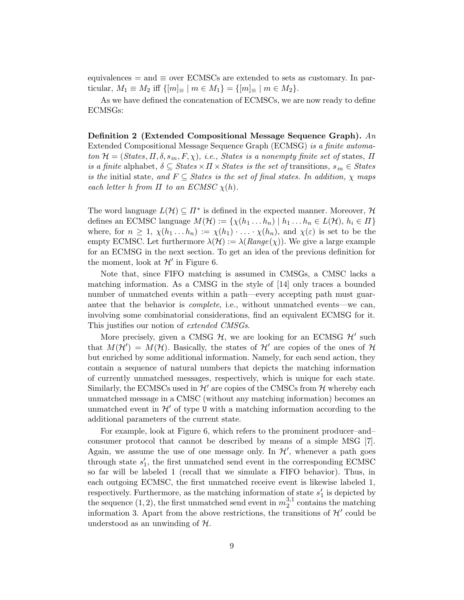equivalences  $=$  and  $\equiv$  over ECMSCs are extended to sets as customary. In particular,  $M_1 \equiv M_2$  iff  $\{ [m]_\equiv \mid m \in M_1 \} = \{ [m]_\equiv \mid m \in M_2 \}.$ 

As we have defined the concatenation of ECMSCs, we are now ready to define ECMSGs:

Definition 2 (Extended Compositional Message Sequence Graph).  $An$ Extended Compositional Message Sequence Graph (ECMSG) is a finite automaton  $\mathcal{H} = (States, \Pi, \delta, s_{in}, F, \chi),$  i.e., States is a nonempty finite set of states,  $\Pi$ is a finite alphabet,  $\delta \subseteq \text{States} \times \Pi \times \text{States}$  is the set of transitions,  $s_{in} \in \text{States}$ is the initial state, and  $F \subseteq$  States is the set of final states. In addition,  $\chi$  maps each letter h from  $\Pi$  to an ECMSC  $\chi(h)$ .

The word language  $L(\mathcal{H}) \subseteq \Pi^*$  is defined in the expected manner. Moreover,  $\mathcal{H}$ defines an ECMSC language  $M(\mathcal{H}) := \{ \chi(h_1 \dots h_n) \mid h_1 \dots h_n \in L(\mathcal{H}), h_i \in \Pi \}$ where, for  $n \geq 1$ ,  $\chi(h_1 \ldots h_n) := \chi(h_1) \cdot \ldots \cdot \chi(h_n)$ , and  $\chi(\varepsilon)$  is set to be the empty ECMSC. Let furthermore  $\lambda(\mathcal{H}) := \lambda(Range(\chi))$ . We give a large example for an ECMSG in the next section. To get an idea of the previous definition for the moment, look at  $\mathcal{H}'$  in Figure 6.

Note that, since FIFO matching is assumed in CMSGs, a CMSC lacks a matching information. As a CMSG in the style of [14] only traces a bounded number of unmatched events within a path—every accepting path must guarantee that the behavior is complete, i.e., without unmatched events—we can, involving some combinatorial considerations, find an equivalent ECMSG for it. This justifies our notion of *extended CMSGs*.

More precisely, given a CMSG  $H$ , we are looking for an ECMSG  $H'$  such that  $M(\mathcal{H}') = M(\mathcal{H})$ . Basically, the states of  $\mathcal{H}'$  are copies of the ones of  $\mathcal{H}$ but enriched by some additional information. Namely, for each send action, they contain a sequence of natural numbers that depicts the matching information of currently unmatched messages, respectively, which is unique for each state. Similarly, the ECMSCs used in  $\mathcal{H}'$  are copies of the CMSCs from  $\mathcal{H}$  whereby each unmatched message in a CMSC (without any matching information) becomes an unmatched event in  $\mathcal{H}'$  of type U with a matching information according to the additional parameters of the current state.

For example, look at Figure 6, which refers to the prominent producer–and– consumer protocol that cannot be described by means of a simple MSG [7]. Again, we assume the use of one message only. In  $\mathcal{H}'$ , whenever a path goes through state  $s_1'$ , the first unmatched send event in the corresponding ECMSC so far will be labeled 1 (recall that we simulate a FIFO behavior). Thus, in each outgoing ECMSC, the first unmatched receive event is likewise labeled 1, respectively. Furthermore, as the matching information of state  $s'_1$  is depicted by the sequence (1, 2), the first unmatched send event in  $m_2^{3,1}$  $2^{3,1}$  contains the matching information 3. Apart from the above restrictions, the transitions of  $\mathcal{H}'$  could be understood as an unwinding of  $H$ .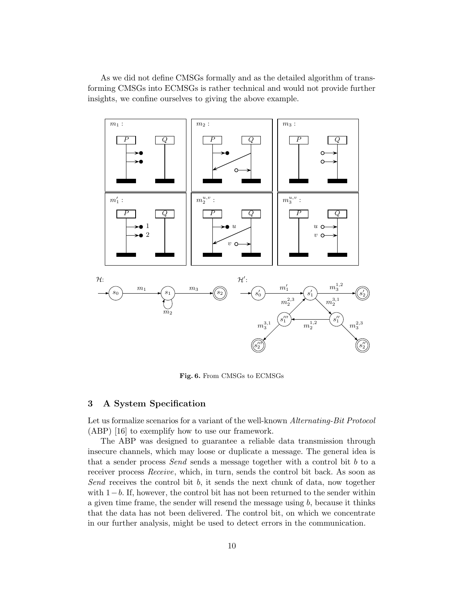As we did not define CMSGs formally and as the detailed algorithm of transforming CMSGs into ECMSGs is rather technical and would not provide further insights, we confine ourselves to giving the above example.



Fig. 6. From CMSGs to ECMSGs

## 3 A System Specification

Let us formalize scenarios for a variant of the well-known Alternating-Bit Protocol (ABP) [16] to exemplify how to use our framework.

The ABP was designed to guarantee a reliable data transmission through insecure channels, which may loose or duplicate a message. The general idea is that a sender process Send sends a message together with a control bit b to a receiver process Receive, which, in turn, sends the control bit back. As soon as Send receives the control bit  $b$ , it sends the next chunk of data, now together with  $1-b$ . If, however, the control bit has not been returned to the sender within a given time frame, the sender will resend the message using  $b$ , because it thinks that the data has not been delivered. The control bit, on which we concentrate in our further analysis, might be used to detect errors in the communication.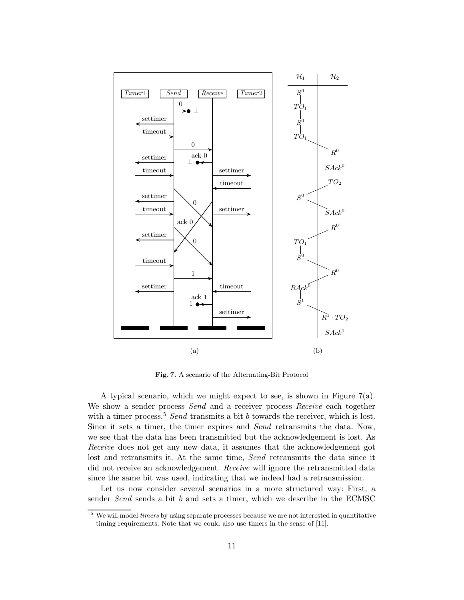

Fig. 7. A scenario of the Alternating-Bit Protocol

A typical scenario, which we might expect to see, is shown in Figure 7(a). We show a sender process Send and a receiver process Receive each together with a timer process.<sup>5</sup> Send transmits a bit b towards the receiver, which is lost. Since it sets a timer, the timer expires and Send retransmits the data. Now, we see that the data has been transmitted but the acknowledgement is lost. As Receive does not get any new data, it assumes that the acknowledgement got lost and retransmits it. At the same time, Send retransmits the data since it did not receive an acknowledgement. Receive will ignore the retransmitted data since the same bit was used, indicating that we indeed had a retransmission.

Let us now consider several scenarios in a more structured way: First, a sender Send sends a bit b and sets a timer, which we describe in the ECMSC

<sup>&</sup>lt;sup>5</sup> We will model *timers* by using separate processes because we are not interested in quantitative timing requirements. Note that we could also use timers in the sense of [11].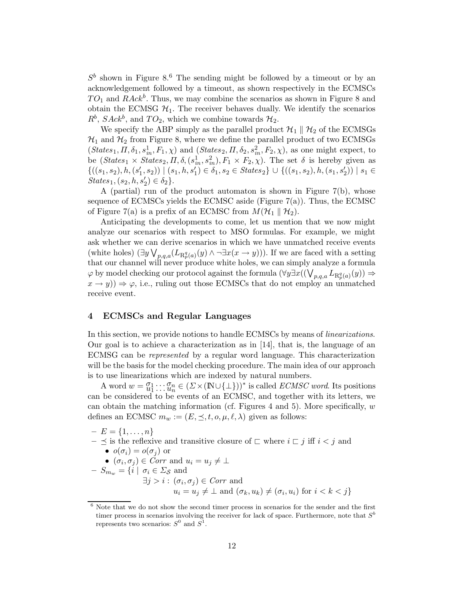$S<sup>b</sup>$  shown in Figure 8.<sup>6</sup> The sending might be followed by a timeout or by an acknowledgement followed by a timeout, as shown respectively in the ECMSCs  $TO<sub>1</sub>$  and  $RAck<sup>b</sup>$ . Thus, we may combine the scenarios as shown in Figure 8 and obtain the ECMSG  $\mathcal{H}_1$ . The receiver behaves dually. We identify the scenarios  $R^b$ ,  $Sack^b$ , and  $TO_2$ , which we combine towards  $\mathcal{H}_2$ .

We specify the ABP simply as the parallel product  $\mathcal{H}_1 \parallel \mathcal{H}_2$  of the ECMSGs  $\mathcal{H}_1$  and  $\mathcal{H}_2$  from Figure 8, where we define the parallel product of two ECMSGs  $(States_1, \Pi, \delta_1, s_{in}^1, F_1, \chi)$  and  $(States_2, \Pi, \delta_2, s_{in}^2, F_2, \chi)$ , as one might expect, to be  $(States_1 \times States_2, \Pi, \delta, (s_m^1, s_m^2), F_1 \times F_2, \chi)$ . The set  $\delta$  is hereby given as  $\{((s_1,s_2),h,(s'_1,s_2)) \mid (s_1,h,s'_1) \in \delta_1, s_2 \in \text{States}_2\} \cup \{((s_1,s_2),h,(s_1,s'_2)) \mid s_1 \in \delta_1, s_2 \in \text{States}_2\}$  $States_1, (s_2, h, s'_2) \in \delta_2$ .

A (partial) run of the product automaton is shown in Figure 7(b), whose sequence of ECMSCs yields the ECMSC aside (Figure 7(a)). Thus, the ECMSC of Figure 7(a) is a prefix of an ECMSC from  $M(\mathcal{H}_1 \parallel \mathcal{H}_2)$ .

Anticipating the developments to come, let us mention that we now might analyze our scenarios with respect to MSO formulas. For example, we might ask whether we can derive scenarios in which we have unmatched receive events (white holes)  $(\exists y \bigvee_{p,q,a} (L_{\mathbf{R}_p^q(a)}(y) \wedge \neg \exists x (x \to y)))$ . If we are faced with a setting that our channel will never produce white holes, we can simply analyze a formula  $\varphi$  by model checking our protocol against the formula  $(\forall y \exists x ((\bigvee_{p,q,a} L_{\mathbf{R}^q_p(a)}(y)) \Rightarrow$  $(x \rightarrow y)$   $\Rightarrow \varphi$ , i.e., ruling out those ECMSCs that do not employ an unmatched receive event.

## 4 ECMSCs and Regular Languages

In this section, we provide notions to handle ECMSCs by means of linearizations. Our goal is to achieve a characterization as in [14], that is, the language of an ECMSG can be represented by a regular word language. This characterization will be the basis for the model checking procedure. The main idea of our approach is to use linearizations which are indexed by natural numbers.

A word  $w = \mathcal{O}_1 : \mathcal{O}_n \subset (\Sigma \times (\mathbb{N} \cup \{\bot\}))^*$  is called *ECMSC word*. Its positions can be considered to be events of an ECMSC, and together with its letters, we can obtain the matching information (cf. Figures 4 and 5). More specifically,  $w$ defines an ECMSC  $m_w := (E, \preceq, t, o, \mu, \ell, \lambda)$  given as follows:

 $- E = \{1, \ldots, n\}$  $- \preceq$  is the reflexive and transitive closure of  $\sqsubset$  where  $i \sqsubset j$  iff  $i < j$  and •  $o(\sigma_i) = o(\sigma_i)$  or •  $(\sigma_i, \sigma_j) \in \text{Corr}$  and  $u_i = u_j \neq \bot$ –  $S_{m_w}=\{i\mid\,\sigma_i\in\varSigma_{\mathcal{S}}\text{ and }$  $\exists j > i : (\sigma_i, \sigma_j) \in \mathit{Corr}$  and  $u_i = u_j \neq \perp \text{ and } (\sigma_k, u_k) \neq (\sigma_i, u_i) \text{ for } i < k < j \}$ 

<sup>6</sup> Note that we do not show the second timer process in scenarios for the sender and the first timer process in scenarios involving the receiver for lack of space. Furthermore, note that  $S<sup>b</sup>$ represents two scenarios:  $S^0$  and  $S^1$ .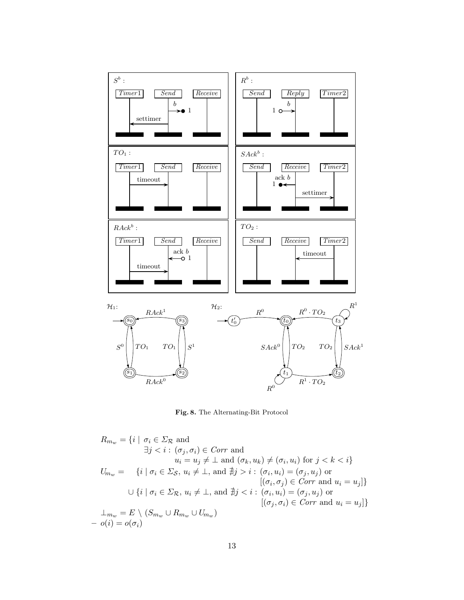

Fig. 8. The Alternating-Bit Protocol

$$
R_{m_w} = \{i \mid \sigma_i \in \Sigma_{\mathcal{R}} \text{ and}
$$
  
\n
$$
\exists j < i : (\sigma_j, \sigma_i) \in \text{Corr and}
$$
  
\n
$$
u_i = u_j \neq \bot \text{ and } (\sigma_k, u_k) \neq (\sigma_i, u_i) \text{ for } j < k < i\}
$$
  
\n
$$
U_{m_w} = \{i \mid \sigma_i \in \Sigma_{\mathcal{S}}, u_i \neq \bot, \text{ and } \nexists j > i : (\sigma_i, u_i) = (\sigma_j, u_j) \text{ or}
$$
  
\n
$$
[(\sigma_i, \sigma_j) \in \text{Corr and } u_i = u_j]\}
$$
  
\n
$$
\cup \{i \mid \sigma_i \in \Sigma_{\mathcal{R}}, u_i \neq \bot, \text{ and } \nexists j < i : (\sigma_i, u_i) = (\sigma_j, u_j) \text{ or}
$$
  
\n
$$
[(\sigma_j, \sigma_i) \in \text{Corr and } u_i = u_j]\}
$$
  
\n
$$
\perp_{m_w} = E \setminus (S_{m_w} \cup R_{m_w} \cup U_{m_w})
$$
  
\n
$$
- o(i) = o(\sigma_i)
$$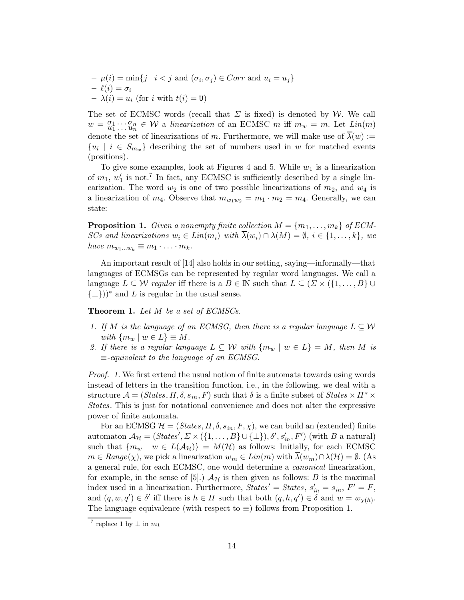$$
-\mu(i) = \min\{j \mid i < j \text{ and } (\sigma_i, \sigma_j) \in Corr \text{ and } u_i = u_j\}
$$
\n
$$
-\ell(i) = \sigma_i
$$
\n
$$
-\lambda(i) = u_i \text{ (for } i \text{ with } t(i) = \mathbf{U})
$$

The set of ECMSC words (recall that  $\Sigma$  is fixed) is denoted by W. We call  $w = \frac{\sigma_1}{u_1} \cdots \frac{\sigma_n}{u_n} \in \mathcal{W}$  a linearization of an ECMSC m iff  $m_w = m$ . Let  $Lin(m)$ denote the set of linearizations of m. Furthermore, we will make use of  $\overline{\lambda}(w) :=$  $\{u_i \mid i \in S_{m_w}\}\$  describing the set of numbers used in w for matched events (positions).

To give some examples, look at Figures 4 and 5. While  $w_1$  is a linearization of  $m_1, w'_1$  is not.<sup>7</sup> In fact, any ECMSC is sufficiently described by a single linearization. The word  $w_2$  is one of two possible linearizations of  $m_2$ , and  $w_4$  is a linearization of  $m_4$ . Observe that  $m_{w_1w_2} = m_1 \cdot m_2 = m_4$ . Generally, we can state:

**Proposition 1.** Given a nonempty finite collection  $M = \{m_1, \ldots, m_k\}$  of ECM-SCs and linearizations  $w_i \in Lin(m_i)$  with  $\lambda(w_i) \cap \lambda(M) = \emptyset$ ,  $i \in \{1, ..., k\}$ , we have  $m_{w_1...w_k} \equiv m_1 \cdot ... \cdot m_k$ .

An important result of [14] also holds in our setting, saying—informally—that languages of ECMSGs can be represented by regular word languages. We call a language  $L \subseteq \mathcal{W}$  regular iff there is a  $B \in \mathbb{N}$  such that  $L \subseteq (\Sigma \times \{1, \ldots, B\} \cup \mathbb{N})$  ${\{\perp\}}^*$  and L is regular in the usual sense.

**Theorem 1.** Let  $M$  be a set of ECMSCs.

- 1. If M is the language of an ECMSG, then there is a regular language  $L \subseteq W$ with  $\{m_w \mid w \in L\} \equiv M$ .
- 2. If there is a regular language  $L \subseteq W$  with  $\{m_w \mid w \in L\} = M$ , then M is  $\equiv$ -equivalent to the language of an ECMSG.

Proof. 1. We first extend the usual notion of finite automata towards using words instead of letters in the transition function, i.e., in the following, we deal with a structure  $\mathcal{A} = (States, \Pi, \delta, s_{in}, F)$  such that  $\delta$  is a finite subset of  $States \times \Pi^* \times$ States. This is just for notational convenience and does not alter the expressive power of finite automata.

For an ECMSG  $\mathcal{H} = (States, \Pi, \delta, s_{in}, F, \chi)$ , we can build an (extended) finite automaton  $\mathcal{A}_{\mathcal{H}} = (States', \Sigma \times (\{1, \ldots, B\} \cup \{\bot\}), \delta', s'_{in}, F')$  (with B a natural) such that  ${m_w \mid w \in L(\mathcal{A}_{\mathcal{H}})} = M(\mathcal{H})$  as follows: Initially, for each ECMSC  $m \in Range(\chi)$ , we pick a linearization  $w_m \in Lin(m)$  with  $\lambda(w_m) \cap \lambda(\mathcal{H}) = \emptyset$ . (As a general rule, for each ECMSC, one would determine a canonical linearization, for example, in the sense of [5].)  $A<sub>H</sub>$  is then given as follows: B is the maximal index used in a linearization. Furthermore,  $States' = States$ ,  $s'_{in} = s_{in}$ ,  $F' = F$ , and  $(q, w, q') \in \delta'$  iff there is  $h \in \Pi$  such that both  $(q, h, q') \in \delta$  and  $w = w_{\chi(h)}$ . The language equivalence (with respect to  $\equiv$ ) follows from Proposition 1.

<sup>&</sup>lt;sup>7</sup> replace 1 by  $\perp$  in  $m_1$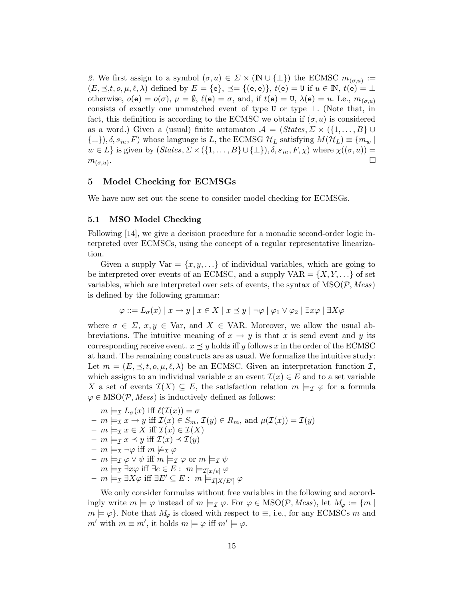2. We first assign to a symbol  $(\sigma, u) \in \Sigma \times (\mathbb{N} \cup \{\perp\})$  the ECMSC  $m_{(\sigma, u)} :=$  $(E, \preceq, t, o, \mu, \ell, \lambda)$  defined by  $E = \{e\}, \preceq = \{(e, e)\}, t(e) = U$  if  $u \in \mathbb{N}, t(e) = \bot$ otherwise,  $o(e) = o(\sigma)$ ,  $\mu = \emptyset$ ,  $\ell(e) = \sigma$ , and, if  $t(e) = U$ ,  $\lambda(e) = u$ . I.e.,  $m_{(\sigma, u)}$ consists of exactly one unmatched event of type U or type ⊥. (Note that, in fact, this definition is according to the ECMSC we obtain if  $(\sigma, u)$  is considered as a word.) Given a (usual) finite automaton  $\mathcal{A} = (States, \Sigma \times {\{1, ..., B\}} \cup$  $\{\perp\}, \delta, s_{in}, F)$  whose language is L, the ECMSG  $\mathcal{H}_L$  satisfying  $M(\mathcal{H}_L) \equiv \{m_w \mid m_w\}$  $w \in L$  is given by  $(States, \Sigma \times (\{1, \ldots, B\} \cup \{\bot\}), \delta, s_{in}, F, \chi)$  where  $\chi((\sigma, u)) =$  $m_{(\sigma,u)}$ . . In the contract of the contract of the contract of the contract of the contract of the contract of the contract of

#### 5 Model Checking for ECMSGs

We have now set out the scene to consider model checking for ECMSGs.

#### 5.1 MSO Model Checking

Following [14], we give a decision procedure for a monadic second-order logic interpreted over ECMSCs, using the concept of a regular representative linearization.

Given a supply  $Var = \{x, y, ...\}$  of individual variables, which are going to be interpreted over events of an ECMSC, and a supply  $VAR = \{X, Y, \ldots\}$  of set variables, which are interpreted over sets of events, the syntax of  $MSO(\mathcal{P}, Mess)$ is defined by the following grammar:

$$
\varphi ::= L_{\sigma}(x) | x \rightarrow y | x \in X | x \le y | \neg \varphi | \varphi_1 \vee \varphi_2 | \exists x \varphi | \exists X \varphi
$$

where  $\sigma \in \Sigma$ ,  $x, y \in \text{Var}$ , and  $X \in \text{VAR}$ . Moreover, we allow the usual abbreviations. The intuitive meaning of  $x \to y$  is that x is send event and y its corresponding receive event.  $x \leq y$  holds iff y follows x in the order of the ECMSC at hand. The remaining constructs are as usual. We formalize the intuitive study: Let  $m = (E, \preceq, t, o, \mu, \ell, \lambda)$  be an ECMSC. Given an interpretation function  $\mathcal{I}$ , which assigns to an individual variable x an event  $\mathcal{I}(x) \in E$  and to a set variable X a set of events  $\mathcal{I}(X) \subseteq E$ , the satisfaction relation  $m \models_{\mathcal{I}} \varphi$  for a formula  $\varphi \in \text{MSO}(\mathcal{P},\text{Mess})$  is inductively defined as follows:

- $m \models_{\mathcal{I}} L_{\sigma}(x)$  iff  $\ell(\mathcal{I}(x)) = \sigma$
- $-m \models_{\mathcal{I}} x \rightarrow y$  iff  $\mathcal{I}(x) \in S_m$ ,  $\mathcal{I}(y) \in R_m$ , and  $\mu(\mathcal{I}(x)) = \mathcal{I}(y)$
- $m \models_{\mathcal{I}} x \in X \text{ iff } \mathcal{I}(x) \in \mathcal{I}(X)$
- $m \models_{\mathcal{I}} x \preceq y \text{ iff } \mathcal{I}(x) \preceq \mathcal{I}(y)$
- $m \models_{\mathcal{I}} \neg \varphi$  iff  $m \not\models_{\mathcal{I}} \varphi$
- $m \models_{\mathcal{I}} \varphi \vee \psi$  iff  $m \models_{\mathcal{I}} \varphi$  or  $m \models_{\mathcal{I}} \psi$
- $m \models_{\mathcal{I}} \exists x \varphi$  iff  $\exists e \in E : m \models_{\mathcal{I}[x/e]} \varphi$
- $m \models_{\mathcal{I}} \exists X \varphi \text{ iff } \exists E' \subseteq E : m \models_{\mathcal{I}[X/E']} \varphi$

We only consider formulas without free variables in the following and accordingly write  $m \models \varphi$  instead of  $m \models_{\mathcal{I}} \varphi$ . For  $\varphi \in \text{MSO}(\mathcal{P}, \text{Mess})$ , let  $M_{\varphi} := \{m \}$  $m \models \varphi$ . Note that  $M_{\varphi}$  is closed with respect to  $\equiv$ , i.e., for any ECMSCs m and  $m'$  with  $m \equiv m'$ , it holds  $m \models \varphi$  iff  $m' \models \varphi$ .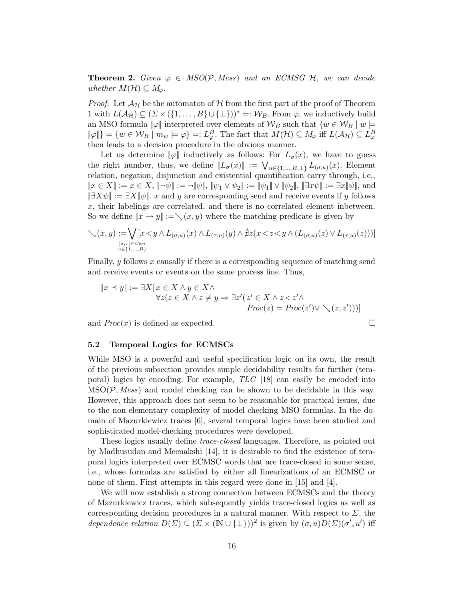**Theorem 2.** Given  $\varphi \in MSO(\mathcal{P}, Mess)$  and an ECMSG  $\mathcal{H}$ , we can decide whether  $M(\mathcal{H}) \subseteq M_{\varphi}$ .

*Proof.* Let  $\mathcal{A}_{\mathcal{H}}$  be the automaton of H from the first part of the proof of Theorem 1 with  $L(\mathcal{A}_{\mathcal{H}}) \subseteq (\Sigma \times (\{1,\ldots,B\} \cup \{\bot\}))^* =: \mathcal{W}_B$ . From  $\varphi$ , we inductively build an MSO formula  $\|\varphi\|$  interpreted over elements of  $\mathcal{W}_B$  such that  $\{w \in \mathcal{W}_B \mid w \models \varphi\}$  $\|\varphi\|\} = \{w \in \mathcal{W}_B \mid m_w \models \varphi\} =: L^B_{\varphi}$ . The fact that  $M(\mathcal{H}) \subseteq M_{\varphi}$  iff  $L(\mathcal{A}_{\mathcal{H}}) \subseteq L^B_{\varphi}$ then leads to a decision procedure in the obvious manner.

Let us determine  $\|\varphi\|$  inductively as follows: For  $L_{\sigma}(x)$ , we have to guess the right number, thus, we define  $||L_{\sigma}(x)|| := \bigvee_{u \in \{1,\dots,B,\perp\}} L_{(\sigma,u)}(x)$ . Element relation, negation, disjunction and existential quantification carry through, i.e.,  $||x \in X|| := x \in X, ||\neg\psi|| := \neg \|\psi\|, ||\psi_1 \vee \psi_2|| := ||\psi_1|| \vee ||\psi_2||, ||\exists x \psi|| := \exists x \|\psi\|$ , and  $|\exists X\psi| := \exists X|\psi|$ . x and y are corresponding send and receive events if y follows x, their labelings are correlated, and there is no correlated element inbetween. So we define  $||x \rightarrow y|| := \setminus (x, y)$  where the matching predicate is given by

$$
\bigvee_{\lambda}(x,y) := \bigvee_{\substack{(\sigma,\tau) \in \mathit{Corr} \\ u \in \{1,\ldots,B\}}} [x < y \land L_{(\sigma,u)}(x) \land L_{(\tau,u)}(y) \land \nexists z (x < z < y \land (L_{(\sigma,u)}(z) \lor L_{(\tau,u)}(z)))]
$$

Finally,  $y$  follows  $x$  causally if there is a corresponding sequence of matching send and receive events or events on the same process line. Thus,

$$
||x \preceq y|| := \exists X [x \in X \land y \in X \land \forall z(z \in X \land z \neq y \Rightarrow \exists z' (z' \in X \land z < z' \land \text{Proc}(z) = \text{Proc}(z') \lor \searrow (z, z')))]
$$

and  $Proc(x)$  is defined as expected.

#### 5.2 Temporal Logics for ECMSCs

While MSO is a powerful and useful specification logic on its own, the result of the previous subsection provides simple decidability results for further (temporal) logics by encoding. For example, TLC [18] can easily be encoded into  $MSO(\mathcal{P}, Mess)$  and model checking can be shown to be decidable in this way. However, this approach does not seem to be reasonable for practical issues, due to the non-elementary complexity of model checking MSO formulas. In the domain of Mazurkiewicz traces [6], several temporal logics have been studied and sophisticated model-checking procedures were developed.

These logics usually define trace-closed languages. Therefore, as pointed out by Madhusudan and Meenakshi [14], it is desirable to find the existence of temporal logics interpreted over ECMSC words that are trace-closed in some sense, i.e., whose formulas are satisfied by either all linearizations of an ECMSC or none of them. First attempts in this regard were done in [15] and [4].

We will now establish a strong connection between ECMSCs and the theory of Mazurkiewicz traces, which subsequently yields trace-closed logics as well as corresponding decision procedures in a natural manner. With respect to  $\Sigma$ , the dependence relation  $D(\Sigma) \subseteq (\Sigma \times (\mathbb{N} \cup \{\bot\}))^2$  is given by  $(\sigma, u)D(\Sigma)(\sigma', u')$  iff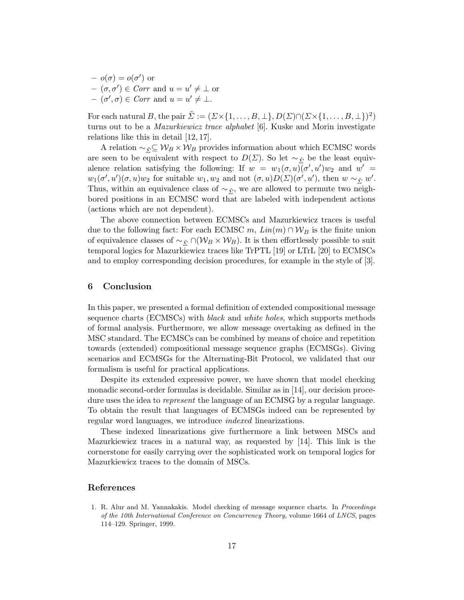$- o(\sigma) = o(\sigma')$  or  $(\sigma, \sigma') \in \mathit{Corr}$  and  $u = u' \neq \bot$  or  $- (\sigma', \sigma) \in \text{Corr}$  and  $u = u' \neq \bot$ .

For each natural B, the pair  $\tilde{\Sigma} := (\Sigma \times \{1, \ldots, B, \bot\}, D(\Sigma) \cap (\Sigma \times \{1, \ldots, B, \bot\})^2)$ turns out to be a Mazurkiewicz trace alphabet [6]. Kuske and Morin investigate relations like this in detail [12, 17].

A relation  $\sim_{\tilde{\Sigma}} \subseteq W_B \times W_B$  provides information about which ECMSC words are seen to be equivalent with respect to  $D(\Sigma)$ . So let ~ $\tilde{\Sigma}$  be the least equivalence relation satisfying the following: If  $w = w_1(\sigma, u) \overline{(\sigma', u')} w_2$  and  $w' =$  $w_1(\sigma', u')(\sigma, u)w_2$  for suitable  $w_1, w_2$  and not  $(\sigma, u)D(\Sigma)(\sigma', u')$ , then  $w \sim_{\tilde{\Sigma}} w'$ . Thus, within an equivalence class of  $\sim_{\tilde{y}_7}$ , we are allowed to permute two neighbored positions in an ECMSC word that are labeled with independent actions (actions which are not dependent).

The above connection between ECMSCs and Mazurkiewicz traces is useful due to the following fact: For each ECMSC m,  $Lin(m) \cap W_B$  is the finite union of equivalence classes of  $\sim_{\tilde{S}} \cap (\mathcal{W}_B \times \mathcal{W}_B)$ . It is then effortlessly possible to suit temporal logics for Mazurkiewicz traces like TrPTL [19] or LTrL [20] to ECMSCs and to employ corresponding decision procedures, for example in the style of [3].

### 6 Conclusion

In this paper, we presented a formal definition of extended compositional message sequence charts (ECMSCs) with *black* and *white holes*, which supports methods of formal analysis. Furthermore, we allow message overtaking as defined in the MSC standard. The ECMSCs can be combined by means of choice and repetition towards (extended) compositional message sequence graphs (ECMSGs). Giving scenarios and ECMSGs for the Alternating-Bit Protocol, we validated that our formalism is useful for practical applications.

Despite its extended expressive power, we have shown that model checking monadic second-order formulas is decidable. Similar as in [14], our decision procedure uses the idea to *represent* the language of an ECMSG by a regular language. To obtain the result that languages of ECMSGs indeed can be represented by regular word languages, we introduce indexed linearizations.

These indexed linearizations give furthermore a link between MSCs and Mazurkiewicz traces in a natural way, as requested by [14]. This link is the cornerstone for easily carrying over the sophisticated work on temporal logics for Mazurkiewicz traces to the domain of MSCs.

#### References

1. R. Alur and M. Yannakakis. Model checking of message sequence charts. In Proceedings of the 10th International Conference on Concurrency Theory, volume 1664 of LNCS, pages 114–129. Springer, 1999.